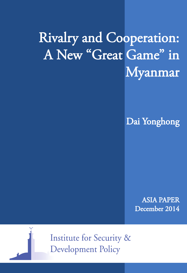# Rivalry and Cooperation: A New "Great Game" in Myanmar

Dai Yonghong

ASIA PAPER December 2014



**Institute for Security & Development Policy**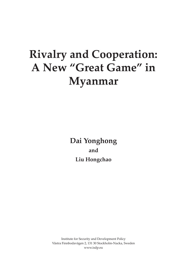## **Rivalry and Cooperation: A New "Great Game" in Myanmar**

**Dai Yonghong and Liu Hongchao**

Institute for Security and Development Policy Västra Finnbodavägen 2, 131 30 Stockholm-Nacka, Sweden www.isdp.eu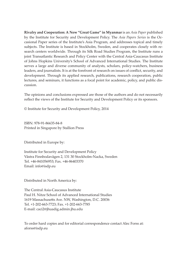**Rivalry and Cooperation: A New "Great Game" in Myanmar** is an *Asia Paper* published by the Institute for Security and Development Policy. The *Asia Papers Series* is the Occasional Paper series of the Institute's Asia Program, and addresses topical and timely subjects. The Institute is based in Stockholm, Sweden, and cooperates closely with research centers worldwide. Through its Silk Road Studies Program, the Institute runs a joint Transatlantic Research and Policy Center with the Central Asia-Caucasus Institute of Johns Hopkins University's School of Advanced International Studies. The Institute serves a large and diverse community of analysts, scholars, policy-watchers, business leaders, and journalists. It is at the forefront of research on issues of conflict, security, and development. Through its applied research, publications, research cooperation, public lectures, and seminars, it functions as a focal point for academic, policy, and public discussion.

The opinions and conclusions expressed are those of the authors and do not necessarily reflect the views of the Institute for Security and Development Policy or its sponsors.

© Institute for Security and Development Policy, 2014

ISBN: 978-91-86635-84-8 Printed in Singapore by Stallion Press

Distributed in Europe by:

Institute for Security and Development Policy Västra Finnbodavägen 2, 131 30 Stockholm-Nacka, Sweden Tel. +46-841056953; Fax. +46-86403370 Email: info@isdp.eu

Distributed in North America by:

The Central Asia-Caucasus Institute Paul H. Nitze School of Advanced International Studies 1619 Massachusetts Ave. NW, Washington, D.C. 20036 Tel. +1-202-663-7723; Fax. +1-202-663-7785 E-mail: caci2@jhuadig.admin.jhu.edu

To order hard copies and for editorial correspondence contact Alec Forss at: aforss@isdp.eu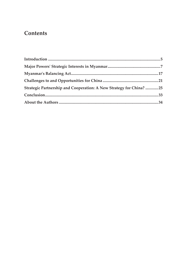## **Contents**

| Strategic Partnership and Cooperation: A New Strategy for China? 25 |  |
|---------------------------------------------------------------------|--|
|                                                                     |  |
|                                                                     |  |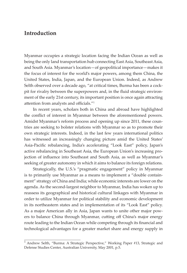## **Introduction**

Myanmar occupies a strategic location facing the Indian Ocean as well as being the only land transportation hub connecting East Asia, Southeast Asia, and South Asia. Myanmar's location—of geopolitical importance—makes it the focus of interest for the world's major powers, among them China, the United States, India, Japan, and the European Union. Indeed, as Andrew Selth observed over a decade ago, "at critical times, Burma has been a cockpit for rivalry between the superpowers and, in the fluid strategic environment of the early 21st century, its important position is once again attracting attention from analysts and officials."<sup>1</sup>

In recent years, scholars both in China and abroad have highlighted the conflict of interest in Myanmar between the aforementioned powers. Amidst Myanmar's reform process and opening up since 2011, these countries are seeking to bolster relations with Myanmar so as to promote their own strategic interests. Indeed, in the last few years international politics has witnessed an increasingly changing picture amid the United States' Asia-Pacific rebalancing, India's accelerating "Look East" policy, Japan's active rebalancing in Southeast Asia, the European Union's increasing projection of influence into Southeast and South Asia, as well as Myanmar's seeking of greater autonomy in which it aims to balance its foreign relations.

Strategically, the U.S.'s "pragmatic engagement" policy in Myanmar is to primarily use Myanmar as a means to implement a "double containment" strategy of China and India; while economic interests are lower on the agenda. As the second-largest neighbor to Myanmar, India has woken up to reassess its geographical and historical cultural linkages with Myanmar in order to utilize Myanmar for political stability and economic development in its northeastern states and in implementation of its "Look East" policy. As a major American ally in Asia, Japan wants to unite other major powers to balance China through Myanmar, cutting off China's major energy route leading to the Indian Ocean while competing through its financial and technological advantages for a greater market share and energy supply in

<sup>&</sup>lt;sup>1</sup> Andrew Selth, "Burma: A Strategic Perspective," Working Paper #13, Strategic and Defense Studies Center, Australian University, May 2001, p.5.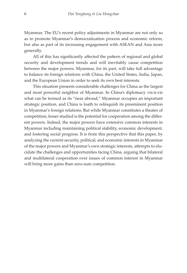Myanmar. The EU's recent policy adjustments in Myanmar are not only so as to promote Myanmar's democratization process and economic reform, but also as part of its increasing engagement with ASEAN and Asia more generally.

All of this has significantly affected the pattern of regional and global security and development trends and will inevitably cause competition between the major powers. Myanmar, for its part, will take full advantage to balance its foreign relations with China, the United States, India, Japan, and the European Union in order to seek its own best interests.

This situation presents considerable challenges for China as the largest and most powerful neighbor of Myanmar. In China's diplomacy vis-à-vis what can be termed as its "near abroad," Myanmar occupies an important strategic position, and China is loath to relinquish its preeminent position in Myanmar's foreign relations. But while Myanmar constitutes a theater of competition, lesser studied is the potential for cooperation among the different powers. Indeed, the major powers have extensive common interests in Myanmar including maintaining political stability, economic development, and fostering social progress. It is from this perspective that this paper, by analyzing the current security, political, and economic interests in Myanmar of the major powers and Myanmar's own strategic interests, attempts to elucidate the challenges and opportunities facing China, arguing that bilateral and multilateral cooperation over issues of common interest in Myanmar will bring more gains than zero-sum competition.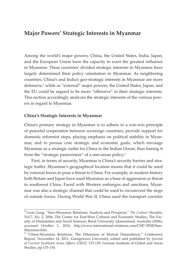## **Major Powers' Strategic Interests in Myanmar**

Among the world's major powers, China, the United States, India, Japan, and the European Union have the capacity to exert the greatest influence in Myanmar. These countries' divided strategic interests in Myanmar have largely determined their policy orientation in Myanmar. As neighboring countries, China's and India's geo-strategic interests in Myanmar are more defensive,<sup>2</sup> while as "external" major powers, the United States, Japan, and the EU could be argued to be more "offensive" in their strategic interests. This section accordingly analyzes the strategic interests of the various powers in regard to Myanmar.

### **China's Strategic Interests in Myanmar**

China's primary strategy in Myanmar is to adhere to a win-win principle of peaceful cooperation between sovereign countries, provide support for domestic reformist steps, placing emphasis on political stability in Myanmar, and to pursue core strategic and economic goals, which envisage Myanmar as a strategic outlet for China to the Indian Ocean, thus freeing it from the "strategic passiveness" of a one-ocean policy.<sup>3</sup>

First, in terms of security, Myanmar is China's security barrier and strategic buffer. Myanmar's geographical location means that it could be used by external forces to pose a threat to China. For example, in modern history both Britain and Japan have used Myanmar as a base of aggression or threat to southwest China. Faced with Western embargos and sanctions, Myanmar was also a strategic channel that could be used to circumvent the siege of outside forces. During World War II, China used the transport corridor

<sup>2</sup>Lixin Geng, "Sino-Myanmar Relations: Analysis and Prospects," *The Culture Mandala*, Vol.7, No. 2, 2006, The Center for East-West Cultural and Economic Studies, The Faculty of Humanities and Social Sciences, Bond University, Queensland, Australia (2006), accessed October 1, 2014, http://www.international-relations.com/CM7-2WB/Sino-Myanmar.htm.

<sup>&</sup>lt;sup>3</sup> "China-Myanmar Relations: The Dilemmas of Mutual Dependence," Conference Report, November 14, 2011, Georgetown University, edited and published by *Journal of Current Southeast Asian Affairs* 1/2012: 133-139, German Institute of Global and Areas Studies, pp.133-134.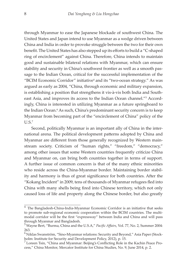through Myanmar to ease the Japanese blockade of southwest China. The United States and Japan intend to use Myanmar as a wedge driven between China and India in order to provoke struggle between the two for their own benefit. The United States has also stepped up its efforts to build a "C-shaped ring of encirclement" against China. Therefore, China intends to maintain good and sustainable bilateral relations with Myanmar, which can ensure stability and security in China's southwest frontier as well as a smooth passage to the Indian Ocean, critical for the successful implementation of the "BCIM Economic Corridor" initiative<sup>4</sup> and its "two-ocean strategy." As was argued as early as 2004, "China, through economic and military expansion, is establishing a position that strengthens it vis-à-vis both India and Southeast Asia, and improves its access to the Indian Ocean channel."<sup>5</sup> Accordingly, China is interested in utilizing Myanmar as a future springboard to the Indian Ocean.<sup>6</sup> As such, China's predominant security concern is to keep Myanmar from becoming part of the "encirclement of China" policy of the  $IIS<sup>7</sup>$ 

Second, politically Myanmar is an important ally of China in the international arena. The political development patterns adopted by China and Myanmar are different from those generally recognized by Western mainstream society. Criticism of "human rights," "freedom," "democracy," among other issues that some Western countries frequently criticize China and Myanmar on, can bring both countries together in terms of support. A further issue of common concern is that of the many ethnic minorities who reside across the China-Myanmar border. Maintaining border stability and harmony is thus of great significance for both countries. After the "Kokang Incident" in 2009, tens of thousands of Myanmar refugees fled into China with many shells being fired into Chinese territory, which not only caused loss of life and property along the Chinese border, but also greatly

<sup>&</sup>lt;sup>4</sup> The Bangladesh-China-India-Myanmar Economic Corridor is an initiative that seeks to promote sub-regional economic cooperation within the BCIM countries. The multimodal corridor will be the first "expressway" between India and China and will pass through Myanmar and Bangladesh.

<sup>5</sup>Wayne Bert, "Burma, China and the U.S.A," *Pacific Affairs*, Vol. 77, No. 2, Summer 2004: 263.

 $^6$ Niklas Swanström, "Sino-Myanmar relations: Security and Beyond," Asia Paper (Stockholm: Institute for Security and Development Policy, 2012), p. 15.

 $\%$  Loreen Tsin, "China and Myanmar: Beijing's Conflicting Role in the Kachin Peace Process," China Monitor, Mercator Institute for China Studies, No. 9, June 2014, p. 2.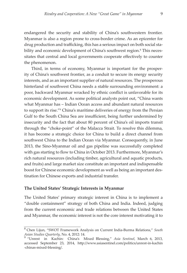endangered the security and stability of China's southwestern frontier. Myanmar is also a region prone to cross-border crime. As an epicenter for drug production and trafficking, this has a serious impact on both social stability and economic development of China's southwest region.<sup>8</sup> This necessitates that central and local governments cooperate effectively to counter the phenomenon.

Third, in terms of economy, Myanmar is important for the prosperity of China's southwest frontier, as a conduit to secure its energy security interests, and as an important supplier of natural resources. The prosperous hinterland of southwest China needs a stable surrounding environment: a poor, backward Myanmar wracked by ethnic conflict is unfavorable for its economic development. As some political analysts point out, "China wants what Myanmar has – Indian Ocean access and abundant natural resources to support its rise."<sup>9</sup> China's maritime deliveries of energy from the Persian Gulf to the South China Sea are insufficient, being further undermined by insecurity and the fact that about 80 percent of China's oil imports transit through the "choke-point" of the Malacca Strait. To resolve this dilemma, it has become a strategic choice for China to build a direct channel from southwest China to the Indian Ocean via Myanmar. Consequently, in June 2013, the Sino-Myanmar oil and gas pipeline was successfully completed with gas starting to flow to China in October 2013. Furthermore, Myanmar's rich natural resources (including timber, agricultural and aquatic products, and fruits) and large market size constitute an important and indispensable boost for Chinese economic development as well as being an important destination for Chinese exports and industrial transfer.

#### **The United States' Strategic Interests in Myanmar**

The United States' primary strategic interest in China is to implement a "double containment" strategy of both China and India. Indeed, judging from the current economic and trade relations between the United States and Myanmar, the economic interest is not the core interest motivating it to

<sup>8</sup>Chen Lijun, "SWOT Framework Analysis on Current India-Burma Relations," *South Asian Studies Quarterly*, No. 4, 2012: 14.

<sup>9</sup>"Unrest in Kachin: China's Mixed Blessing," *Asia Sentinel,* March 6, 2013, accessed September 23, 2014, http://www.asiasentinel.com/politics/unrest-in-kachin -chinas-mixed-blessing/.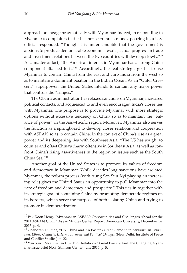approach or engage pragmatically with Myanmar. Indeed, in responding to Myanmar's complaints that it has not seen much money pouring in, a U.S. official responded, "Though it is understandable that the government is anxious to produce demonstrable economic results, actual progress in trade and investment relations between the two countries will develop slowly."<sup>10</sup> As a matter of fact, "the American interest in Myanmar has a strong China component attached to it."11 Accordingly, the real strategic goal is to use Myanmar to contain China from the east and curb India from the west so as to maintain a dominant position in the Indian Ocean. As an "Outer Crescent" superpower, the United States intends to contain any major power that controls the "fringes."

The Obama administration has relaxed sanctions on Myanmar, increased political contacts, and acquiesced to and even encouraged India's closer ties with Myanmar. The purpose is to provide Myanmar with more strategic options without excessive tendency on China so as to maintain the "balance of power" in the Asia-Pacific region. Moreover, Myanmar also serves the function as a springboard to develop closer relations and cooperation with ASEAN so as to contain China. In the context of China's rise as a great power and its deepening ties with Southeast Asia, "The US has sought to counter and offset China's charm offensive in Southeast Asia, as well as confront China's rising assertiveness in the region on issues such as the South China Sea."<sup>12</sup>

Another goal of the United States is to promote its values of freedom and democracy in Myanmar. While decades-long sanctions have isolated Myanmar, the reform process (with Aung San Suu Kyi playing an increasing role) gives the United States an opportunity to pull Myanmar into the "arc of freedom and democracy and prosperity." This ties in together with its strategic goal of containing China by promoting democratic regimes on its borders, which serve the purpose of both isolating China and trying to promote its democratization.

 $10$  Pek Koon Heng, "Myanmar in ASEAN: Opportunities and Challenges Ahead for the 2014 ASEAN Chair," Asean Studies Center Report, American University, December 14, 2013, p. 4.

<sup>&</sup>lt;sup>11</sup> Chandran D. Suba, "US, China and An Eastern Great Game?," in *Myanmar in Transition: Ethnic Conflicts, External Interests and Political Changes* (New Delhi: Institute of Peace and Conflict Studies), p. 22.

<sup>&</sup>lt;sup>12</sup> Yun Sun, "Myanmar in US-China Relations," Great Powers And The Changing Myanmar Issue Brief No.3, Stimson Center, June 2014, p. 5.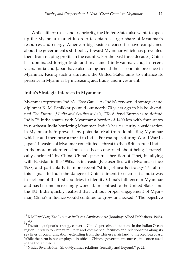While hitherto a secondary priority, the United States also wants to open up the Myanmar market in order to obtain a larger share of Myanmar's resources and energy. American big business consortia have complained about the government's stiff policy toward Myanmar which has prevented them from reaping profits in the country. For the past three decades, China has dominated foreign trade and investment in Myanmar, and, in recent years, India and Japan have also strengthened their economic presence in Myanmar. Facing such a situation, the United States aims to enhance its presence in Myanmar by increasing aid, trade, and investment.

#### **India's Strategic Interests in Myanmar**

Myanmar represents India's "East Gate." As India's renowned strategist and diplomat K. M. Panikkar pointed out nearly 70 years ago in his book entitled *The Future of India and Southeast Asia*, "To defend Burma is to defend India."13 India shares with Myanmar a border of 1400 km with four states in northeast India bordering Myanmar. India's basic security consideration in Myanmar is to prevent any potential rival from dominating Myanmar which could then pose a threat to India. For example, during World War II, Japan's invasion of Myanmar constituted a threat to then British-ruled India. In the more modern era, India has been concerned about being "strategically encircled" by China. China's peaceful liberation of Tibet, its allying with Pakistan in the 1950s, its increasingly closer ties with Myanmar since 1988, and particularly its more recent "string of pearls strategy" $14$ -all of this signals to India the danger of China's intent to encircle it. India was in fact one of the first countries to identify China's influence in Myanmar and has become increasingly worried. In contrast to the United States and the EU, India quickly realized that without proper engagement of Myanmar, China's influence would continue to grow unchecked.15 The objective

<sup>13</sup> K.M.Panikkar, *The Future of India and Southeast Asia* (Bombay: Allied Publishers, 1945), p. 43.

 $14$  The string of pearls strategy concerns China's perceived intentions in the Indian Ocean region. It refers to China's military and commercial facilities and relationships along its sea lines of communication, extending from the Chinese mainland to the Red Sea coast. While the term is not employed in official Chinese government sources, it is often used in the Indian media.

 $^{15}\,$ Niklas Swanström, "Sino-Myanmar relations: Security and Beyond," p. 22.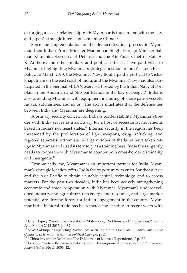of forging a closer relationship with Myanmar is thus in line with the U.S. and Japan's strategic interest of containing China.16

Since the implementation of the democratization process in Myanmar, then Indian Prime Minister Manmohan Singh, Foreign Minister Salman Khurshid, Secretary of Defense and the Air Force Chief of Staff A. K. Anthony, and other military and political officials, have paid visits to Myanmar, highlighting Myanmar's strategic position in India's "Look East" policy. In March 2013, the Myanmar Navy flotilla paid a port call to Vishakhapatnam on the east coast of India, and the Myanmar Navy has also participated in the biennial MILAN exercises hosted by the Indian Navy at Port Blair in the Andaman and Nicobar Islands in the Bay of Bengal.<sup>17</sup> India is also providing Myanmar with equipment including offshore patrol vessels, radars, submarines, and so on. The above illustrates that the defense ties between India and Myanmar are deepening.

A primary security concern for India is border stability. Myanmar's border with India serves as a sanctuary for a host of secessionist movements based in India's northeast states.18 Internal security in the region has been threatened by the proliferation of light weapons, drug trafficking, and regional separatist extremists. A large number of the latter have taken refuge in Myanmar and used its territory as a training base. India thus urgently needs to cooperate with Myanmar to counter both cross-border criminality and insurgents.19

Economically, too, Myanmar is an important partner for India. Myanmar's strategic location offers India the opportunity to enter Southeast Asia and the Asia-Pacific to obtain valuable capital, technology, and to access markets. For the past two decades, India has been actively strengthening economic and trade cooperation with Myanmar. Myanmar's underdeveloped industry and agriculture, rich energy and resources, and large market potential are driving forces for Indian engagement in the country. Myanmar-India bilateral trade has been increasing steadily in recent years with

 $16$  Chen Lijun, "Sino-Indian Relations: Status quo, Problems and Suggestions," South Asia Report 2012-2013, p. 182.

<sup>&</sup>lt;sup>17</sup> Vijay Sakhuja, "Expanding Naval Ties with India," in *Myanmar in Transition: Ethnic* Conflicts, External Interests and Political Changes, p. 24.<br><sup>18</sup> "China-Myanmar Relations: The Dilemmas of Mutual Dependence," p.137.<br><sup>19</sup> Li Yibo, "Indo - Burmese Relations: From Estrangement to Cooperation," Southeast

*Asian Studies*, No .1, 2006: 42.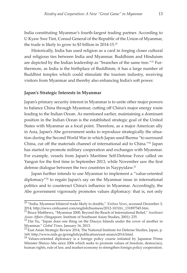India constituting Myanmar's fourth-largest trading partner. According to U Kyaw Swe Tint, Consul General of the Republic of the Union of Myanmar, the trade is likely to grow to \$3 billion in 2014-15.20

Historically, India has used religion as a card in forging closer cultural and religious ties between India and Myanmar. Buddhism and Hinduism are depicted by the Indian leadership as "branches of the same tree."<sup>21</sup> Furthermore, as India is the birthplace of Buddhism, it has a large number of Buddhist temples which could stimulate the tourism industry, receiving visitors from Myanmar and thereby also enhancing India's soft power.

#### **Japan's Strategic Interests in Myanmar**

Japan's primary security interest in Myanmar is to unite other major powers to balance China through Myanmar, cutting off China's major energy route leading to the Indian Ocean. As mentioned earlier, maintaining a dominant position in the Indian Ocean is the established strategic goal of the United States with Myanmar as a focal point. Therefore, as a major American ally in Asia, Japan's Abe government seeks to reproduce strategically the situation during the Second World War in which Japan used Burma "to surround China, cut off the materials channel of international aid to China."<sup>22</sup> Japan has started to promote military cooperation and exchanges with Myanmar. For example, vessels from Japan's Maritime Self-Defense Force called on Yangon for the first time in September 2013, while November saw the first defense dialogue between the two countries in Naypyidaw.23

Japan further intends to use Myanmar to implement a "value-oriented diplomacy"24 to regain Japan's say on the Myanmar issue in international politics and to counteract China's influence in Myanmar. Accordingly, the Abe government vigorously promotes values diplomacy: that is, not only

<sup>20 &</sup>quot;India, Myanmar bilateral trade likely to double," *Xinhua News*, accessed December 3, 2014, http://news.xinhuanet.com/english/business/2012-10/10/c\_131897545.htm.

<sup>21</sup>Bruce Matthews, "Myanmar 2000, Beyond the Reach of International Relief," *Southeast* 

*Asian Affairs* (Singapore: Institute of Southeast Asian Studies, 2001): 235.<br><sup>22</sup> Dai Xu, "Japan does one thing on the Diaoyu Islands under the cover of another in Myanmar," Global Times, January 16, 2013.

<sup>&</sup>lt;sup>23</sup> East Asian Strategic Review 2014, The National Institute for Defense Studies, Japan, p. 169, http://www.nids.go.jp/english/publication/east-asian/e2014.html.

 $24$  Values-oriented diplomacy is a foreign policy course initiated by Japanese Prime Minister Shinzo Abe since 2006 which seeks to promote values of freedom, democracy, human rights, rule of law, and market economy to strengthen foreign policy cooperation.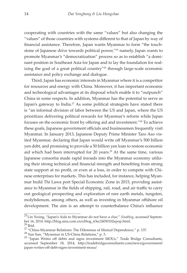cooperating with countries with the same "values" but also changing the "values" of those countries with systems different to that of Japan by way of financial assistance. Therefore, Japan wants Myanmar to form "the touchstone of Japanese drive towards political power,"25 namely, Japan wants to promote Myanmar's "democratization" process so as to establish "a dominant position in Southeast Asia for Japan and to lay the foundation for realizing the goal of a great political country"<sup>26</sup> through large-scale economic assistance and policy exchange and dialogue.

Third, Japan has economic interests in Myanmar where it is a competitor for resources and energy with China. Moreover, it has important economic and technological advantages at its disposal which enable it to "outpunch" China in some respects. In addition, Myanmar has the potential to serve as Japan's gateway to India.<sup>27</sup> As some political strategists have stated there is "an informal division of labor between the US and Japan, where the US prioritizes delivering political rewards for Myanmar's reform while Japan focuses on the economic front by offering aid and investment."28 To achieve these goals, Japanese government officials and businessmen frequently visit Myanmar. In January 2013, Japanese Deputy Prime Minister Taro Aso visited Myanmar, declaring that Japan would write off Myanmar's 500 billion yen debt, and promising to provide a 50 billion yen loan to restore economic aid which had been interrupted for 20 years.<sup>29</sup> At the same time, various Japanese consortia made rapid inroads into the Myanmar economy utilizing their strong technical and financial strength and benefiting from strong state support at no profit, or even at a loss, in order to compete with Chinese enterprises for markets. This has included, for instance, helping Myanmar build Thi Lawa port Special Economic Zone in 2015, providing assistance to Myanmar in the fields of shipping, rail, road, and air traffic to carry out geological prospecting and exploration of rare earth metals, tungsten, molybdenum, among others, as well as investing in Myanmar offshore oil development. The aim is an attempt to counterbalance China's influence

<sup>25</sup>Lin Xixing, "Japan's Aids to Myanmar do not have a clue," *Sinablog*, accessed September 16, 2014. http://blog.sina.com.cn/s/blog\_63ec24f50102epop.html.<br><sup>26</sup> Ibid.<br><sup>27</sup> "China-Myanmar Relations: The Dilemmas of Mutual Dependence," p. 137.

<sup>&</sup>lt;sup>28</sup> Yun Sun, "Myanmar in US-China Relations," p. 5.<br><sup>29</sup> "Japan Writes off debts and signs investment MOUs," Trade Bridge Consultants, accessed September 18, 2014, http://tradebridgeconsultants.com/news/government/ japan-writes-off-debt-signs-investment-mous/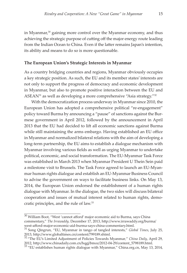in Myanmar, $30$  gaining more control over the Myanmar economy, and thus achieving the strategic purpose of cutting off the major energy route leading from the Indian Ocean to China. Even if the latter remains Japan's intention, its ability and means to do so is more questionable.

#### **The European Union's Strategic Interests in Myanmar**

As a country bridging countries and regions, Myanmar obviously occupies a key strategic position. As such, the EU and its member states' interests are not only to support the progress of democracy and economic development in Myanmar, but also to promote positive interaction between the EU and  $ASEAN<sup>31</sup>$  as well as developing a more comprehensive "Asia strategy." $32$ 

With the democratization process underway in Myanmar since 2010, the European Union has adopted a comprehensive political "re-engagement" policy toward Burma by announcing a "pause" of sanctions against the Burmese government in April 2012, followed by the announcement in April 2013 that the EU had decided to lift all economic sanctions against Burma while still maintaining the arms embargo. Having established an EU office in Myanmar and normalized bilateral relations with the aim of developing a long-term partnership, the EU aims to establish a dialogue mechanism with Myanmar involving various fields as well as urging Myanmar to undertake political, economic, and social transformation. The EU-Myanmar Task Force was established in March 2013 when Myanmar President U Thein Sein paid a milestone visit to Brussels. The Task Force agreed to launch an EU-Myanmar human rights dialogue and establish an EU-Myanmar Business Council to advise the government on ways to facilitate business links. On May 13, 2014, the European Union endorsed the establishment of a human rights dialogue with Myanmar. In the dialogue, the two sides will discuss bilateral cooperation and issues of mutual interest related to human rights, democratic principles, and the rule of law.33

 $30$  William Boot, "West 'cannot afford' major economic aid to Burma, says China commentary," *The Irrawaddy,* December 17, 2013, http://www.irrawaddy.org/burma/ west-afford-major-economic-aid-burma-says-china-commentary.html.

<sup>&</sup>lt;sup>31</sup> Song Qingrun, "EU, Myanmar in tango of tangled interests," *Global Times*, July 25, 2013, http://www.globaltimes.cn/content/799189.shtml.

<sup>32</sup> "The EU's Limited Adjustment of Policies Towards Myanmar*,*" *China Daily*, April 29, 2012, http://www.chinadaily.com.cn/hqgj/bmoz/2012-04-29/content\_5798189.html.  $^{33}$  "EU establishes human rights dialogue with Myanmar," China.org.cn, May 13, 2014,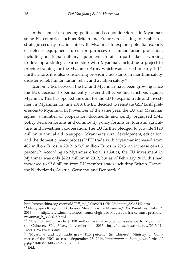In the context of ongoing political and economic reforms in Myanmar, some EU countries such as Britain and France are seeking to establish a strategic security relationship with Myanmar to explore potential exports of defense equipments used for purposes of humanitarian protection, including non-lethal military equipment. Britain in particular is working to develop a strategic partnership with Myanmar, including a project to provide training for the Myanmar Army which was started in early 2014. Furthermore, it is also considering providing assistance in maritime safety, disaster relief, humanitarian relief, and aviation safety.<sup>34</sup>

Economic ties between the EU and Myanmar have been growing since the EU's decision to permanently suspend all economic sanctions against Myanmar. This has opened the door for the EU to expand trade and investment in Myanmar. In June 2013, the EU decided to reinstate GSP tariff preferences to Myanmar. In November of the same year, the EU and Myanmar signed a number of cooperation documents and jointly organized SME policy decision forums and commodity policy forums on tourism, agriculture, and investment cooperation. The EU further pledged to provide \$120 million in annual aid to support Myanmar's rural development, education, and the domestic peace process.<sup>35</sup> EU trade with Myanmar increased from 402 million Euros in 2012 to 569 million Euros in 2013, an increase of 41.5 percent.36 According to Myanmar official statistics, the EU investment in Myanmar was only \$220 million in 2012, but as of February 2013, this had increased to \$3.8 billion from EU member states including Britain, France, the Netherlands, Austria, Germany, and Denmark.<sup>37</sup>

http://www.china.org.cn/world/Off\_the\_Wire/2014-05/13/content\_32365442.htm

<sup>&</sup>lt;sup>34</sup> Nehginpao Kipgen, "UK, France Must Pressure Myanmar," *The World Post*, July 17, 2013, http://www.huffingtonpost.com/nehginpao-kipgen/uk-france-must-pressuremyanmar\_b\_3606618.html.

 $35$ <sup>"</sup>The EU will provide \$ 120 million annual economic assistance to Myanmar" (in Chinese), *Sina News*, November 14, 2013, http://news.sina.com.cn/w/2013-11-

 $14/213028712405$ .shtml.<br><sup>36</sup> "Myanmar and EU trade grew 41.5 percent" (in Chinese), Ministry of Commerce of the PRC, accessed September 23, 2014, http://www.mofcom.gov.cn/article/i/ jyjl/j/201403/20140300528881.shtml.<br><sup>37</sup> Ibid.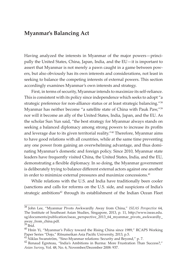## **Myanmar's Balancing Act**

Having analyzed the interests in Myanmar of the major powers—principally the United States, China, Japan, India, and the EU—it is important to assert that Myanmar is not merely a pawn caught in a game between powers, but also obviously has its own interests and considerations, not least in seeking to balance the competing interests of external powers. This section accordingly examines Myanmar's own interests and strategy.

First, in terms of security, Myanmar intends to maximize its self-reliance. This is consistent with its policy since independence which seeks to adopt "a strategic preference for non-alliance status or at least strategic balancing."<sup>38</sup> Myanmar has neither become "a satellite state of China with Pauk Paw,"<sup>39</sup> nor will it become an ally of the United States, India, Japan, and the EU. As the scholar Sun Yun said, "the best strategy for Myanmar always stands on seeking a balanced diplomacy among strong powers to increase its profits and leverage due to its given territorial reality."40 Therefore, Myanmar aims to have good relations with all countries, while at the same time preventing any one power from gaining an overwhelming advantage, and thus dominating Myanmar's domestic and foreign policy. Since 2010, Myanmar state leaders have frequently visited China, the United States, India, and the EU, demonstrating a flexible diplomacy. In so doing, the Myanmar government is deliberately trying to balance different external actors against one another in order to minimize external pressures and maximize concessions.<sup>41</sup>

While relations with the U.S. and India have traditionally been cooler (sanctions and calls for reforms on the U.S. side, and suspicions of India's strategic ambitions<sup>42</sup> through its establishment of the Indian Ocean Fleet

<sup>38</sup>John Lee, "Myanmar Pivots Awkwardly Away from China," *ISEAS Perspective* 64, The Institute of Southeast Asian Studies, Singapore, 2013, p. 11, http://www.iseas.edu. sg/documents/publication/iseas\_perspective\_2013\_64\_myanmar\_pivots\_awkwardly\_ away\_from\_china.pdf.

 $39$  Ibid.

 $^{40}$  Hnin Yi, "Myanmar's Policy toward the Rising China since 1989," RCAPS Working Paper Series "Dojo," Ritsumeikan Asia Pacific University, 2013, p.5.

<sup>&</sup>lt;sup>41</sup> Niklas Swanström, "Sino-Myanmar relations: Security and Beyond," p. 7.<br><sup>42</sup> Renaud Egreteau, "India's Ambitions in Burma: More Frustration Than Success?," *Asian Survey*, Vol. 48, No. 6, November/December 2008: 937.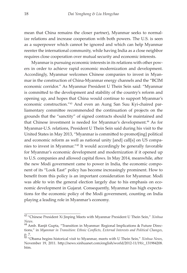mean that China remains the closer partner), Myanmar seeks to normalize relations and increase cooperation with both powers. The U.S. is seen as a superpower which cannot be ignored and which can help Myanmar reenter the international community, while having India as a close neighbor requires close cooperation over mutual security and economic interests.

Myanmar is pursuing economic interests in its relations with other powers in order to achieve rapid economic modernization and development. Accordingly, Myanmar welcomes Chinese companies to invest in Myanmar in the construction of China-Myanmar energy channels and the "BCIM economic corridor." As Myanmar President U Thein Sein said: "Myanmar is committed to the development and stability of the country's reform and opening up, and hopes that China would continue to support Myanmar's economic construction."43 And even an Aung San Suu Kyi-chaired parliamentary committee recommended the continuation of projects on the grounds that the "sanctity" of signed contracts should be maintained and that Chinese investment is needed for Myanmar's development.<sup>44</sup> As for Myanmar-U.S. relations, President U Thein Sein said during his visit to the United States in May 2013, "Myanmar is committed to promot[ing] political and economic reform as well as national unity [and] call[s] on US companies to invest in Myanmar."45 It would accordingly be generally favorable for Myanmar's economic development and modernization if it opened up to U.S. companies and allowed capital flows. In May 2014, meanwhile, after the new Modi government came to power in India, the economic component of its "Look East" policy has become increasingly prominent. How to benefit from this policy is an important consideration for Myanmar. Modi was able to win the general election largely due to his emphasis on economic development in Gujarat. Consequently, Myanmar has high expectations for the economic policy of the Modi government, counting on India playing a leading role in Myanmar's economy.

<sup>43</sup>"Chinese President Xi Jinping Meets with Myanmar President U Thein Sein," *Xinhua News.*<br><sup>44</sup> Amb. Ranjit Gupta, "Transition in Myanmar: Regional Implications & Future Direc-

tions," in *Myanmar in Transition: Ethnic Conflicts, External Interests and Political Changes*, p. 7.

<sup>&</sup>lt;sup>45</sup> "Obama begins historical visit to Myanmar, meets with U Thein Sein," *Xinhua News*, November 19, 2011. http://news.xinhuanet.com/english/world/2012-11/19/c\_131984208. htm.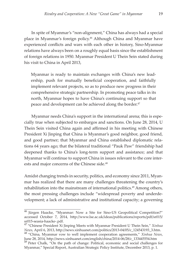In spite of Myanmar's "non-alignment," China has always had a special place in Myanmar's foreign policy.46 Although China and Myanmar have experienced conflicts and wars with each other in history, Sino-Myanmar relations have always been on a roughly equal basis since the establishment of foreign relations in 1950. Myanmar President U Thein Sein stated during his visit to China in April 2013,

Myanmar is ready to maintain exchanges with China's new leadership, push for mutually beneficial cooperation, and faithfully implement relevant projects, so as to produce new progress in their comprehensive strategic partnership. In promoting peace talks in its north, Myanmar hopes to have China's continuing support so that peace and development can be achieved along the border.<sup>47</sup>

Myanmar needs China's support in the international arena; this is especially true when subjected to embargos and sanctions. On June 28, 2014, U Thein Sein visited China again and affirmed in his meeting with Chinese President Xi Jinping that China is Myanmar's good neighbor, good friend, and good partner; that Myanmar and China established diplomatic relations 64 years ago; that the bilateral traditional "Pauk Paw" friendship had deepened thanks to China's long-term support and assistance; and that Myanmar will continue to support China in issues relevant to the core interests and major concerns of the Chinese side.<sup>48</sup>

Amidst changing trends in security, politics, and economy since 2011, Myanmar has realized that there are many challenges threatening the country's rehabilitation into the mainstream of international politics.49 Among others, the most pressing challenges include "widespread poverty and underdevelopment; a lack of administrative and institutional capacity; a governing

<sup>&</sup>lt;sup>46</sup> Jürgen Haacke, "Myanmar: Now a Site for Sino-US Geopolitical Competition?" accessed October 7, 2014, http://www.lse.ac.uk/ideas/publications/reports/pdf/sr015/ sr015-seasia-haacke-.pdf.

<sup>47</sup>"Chinese President Xi Jinping Meets with Myanmar President U Thein Sein," *Xinhua News,* April 6, 2013, http://news.xinhuanet.com/politics/2013-04/05/c\_124543193\_3.htm. 48 "China, Myanmar vow to well implement cooperation agreements," *Xinhua News*,

June 28, 2014, http://news.xinhuanet.com/english/china/2014-06/28/c\_133445554.htm <sup>49</sup> Peter Chalk, "On the path of change: Political, economic and social challenges for Myanmar," Special Report, Australian Strategic Policy Institute, December 2013, p. 1.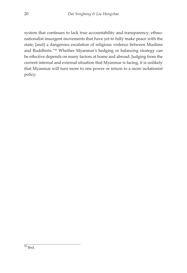system that continues to lack true accountability and transparency; ethnonationalist insurgent movements that have yet to fully make peace with the state; [and] a dangerous escalation of religious violence between Muslims and Buddhists."<sup>50</sup> Whether Myanmar's hedging or balancing strategy can be effective depends on many factors at home and abroad. Judging from the current internal and external situation that Myanmar is facing, it is unlikely that Myanmar will turn more to one power or return to a more isolationist policy.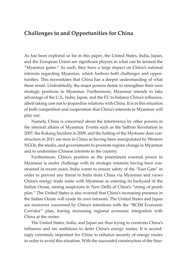## **Challenges to and Opportunities for China**

As has been explored so far in this paper, the United States, India, Japan, and the European Union are significant players in what can be termed the "Myanmar game." As such, they have a large impact on China's national interests regarding Myanmar, which harbors both challenges and opportunities. This necessitates that China has a deeper understanding of what these entail. Undoubtedly, the major powers desire to strengthen their own strategic positions in Myanmar. Furthermore, Myanmar intends to take advantage of the U.S., India, Japan, and the EU to balance China's influence, albeit taking care not to jeopardize relations with China. It is in this situation of both competition and cooperation that China's interests in Myanmar will play out.

Namely, China is concerned about the interference by other powers in the internal affairs of Myanmar. Events such as the Saffron Revolution in 2007, the Kokang Incident in 2009, and the halting of the Myitsone dam construction in 2011 are seen in China as having been manipulated by Western NGOs, the media, and governments to promote regime change in Myanmar and to undermine Chinese interests in the country.

Furthermore, China's position as the preeminent external power in Myanmar is under challenge with its strategic interests having been constrained in recent years. India wants to ensure safety of the "East Gate" in order to prevent any threat to India from China via Myanmar and views China's energy trade route with Myanmar as entering its backyard of the Indian Ocean, raising suspicions in New Delhi of China's "string of pearls plan." The United States is also worried that China's increasing presence in the Indian Ocean will erode its own interests. The United States and Japan are moreover concerned by China's intentions with the "BCIM Economic Corridor" plan, fearing increasing regional economic integration with China at the center.

The United States, India, and Japan are thus trying to constrain China's influence and are ambitious to deter China's energy routes. It is accordingly extremely important for China to enhance security of energy routes in order to avoid this situation. With the successful construction of the Sino-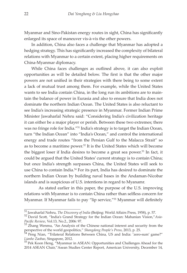Myanmar and Sino-Pakistan energy routes in sight, China has significantly enlarged its space of maneuver vis-à-vis the other powers.

In addition, China also faces a challenge that Myanmar has adopted a hedging strategy. This has significantly increased the complexity of bilateral relations with Myanmar to a certain extent, placing higher requirements on China-Myanmar diplomacy.

While China faces challenges as outlined above, it can also exploit opportunities as will be detailed below. The first is that the other major powers are not unified in their strategies with there being to some extent a lack of mutual trust among them. For example, while the United States wants to see India contain China, in the long run its ambitions are to maintain the balance of power in Eurasia and also to ensure that India does not dominate the northern Indian Ocean. The United States is also reluctant to see India's increasing strategic presence in Myanmar. Former Indian Prime Minister Jawaharlal Nehru said: "Considering India's civilization heritage it can either be a major player or perish. Between these two extremes; there was no fringe role for India."51 India's strategy is to target the Indian Ocean, turn "the Indian Ocean" into "India's Ocean," and control the international energy and trade routes "from the Persian Gulf to the Malacca Strait" so as to become a maritime power.<sup>52</sup> It is the United States which will become the biggest loser if India desires to become a great sea power.53 In fact, it could be argued that the United States' current strategy is to contain China; but once India's strength surpasses China, the United States will seek to use China to contain India.54 For its part, India has desired to dominate the northern Indian Ocean by building naval bases in the Andaman-Nicobar islands and is suspicious of U.S. intentions in regard to Myanamr.

 As stated earlier in this paper, the purpose of the U.S. improving relations with Myanmar is to contain China rather than selfless concern for Myanmar. If Myanmar fails to pay "lip service,"<sup>55</sup> Myanmar will definitely

<sup>&</sup>lt;sup>51</sup> Jawaharlal Nehru, *The Discovery of India* (Beijing: World Affairs Press, 1958), p. 57.<br><sup>52</sup> David Scott, "India's Grand Strategy for the Indian Ocean: Mahanian Vision,"*Asia*-*Pacific Review*, Vol.13, No.2., 2006: 97.

<sup>53</sup> Zhang Wenmu, "An Analysis of the Chinese national interest and security from the

perspective of the world geopolitics," *Shangdong People's Press*, 2013, p. 25.<br><sup>54</sup> Peng Nian, "Trilateral Relations Between China, US and India: 'zero-sum' game?"<br>*Lianhe Zaobao*, Singapore, 2012.

<sup>&</sup>lt;sup>55</sup> Pek Koon Heng, "Myanmar in ASEAN: Opportunities and Challenges Ahead for the 2014 ASEAN Chair,"Asean Studies Center Report, American University, December 14,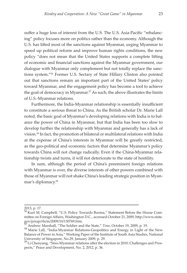suffer a huge loss of interest from the U.S. The U.S. Asia-Pacific "rebalancing" policy focuses more on politics rather than the economy. Although the U.S. has lifted most of the sanctions against Myanmar, urging Myanmar to speed up political reform and improve human rights conditions, the new policy "does not mean that the United States supports a complete lifting of economic and financial sanctions against the Myanmar government, our dialogue with Myanmar only complement but not totally replace the sanctions system."56 Former U.S. Sectary of State Hillary Clinton also pointed out that sanctions remain an important part of the United States' policy toward Myanmar, and the engagement policy has become a tool to achieve the goal of democracy in Myanmar.<sup>57</sup> As such, the above illustrates the limits of U.S.-Myanmar relations.

Furthermore, the India-Myanmar relationship is essentially insufficient to constitute a serious threat to China. As the British scholar Dr. Marie Lall noted, the basic goal of Myanmar's developing relations with India is to balance the power of China in Myanmar, but that India has been too slow to develop further the relationship with Myanmar and generally has a lack of vision.58 In fact, the promotion of bilateral or multilateral relations with India at the expense of China's interests in Myanmar will be greatly restricted, as the geo-political and economic factors that determine Myanmar's policy towards China will not change radically. Even if the China-Myanmar relationship twists and turns, it will not deteriorate to the state of hostility.

In sum, although the period of China's preeminent foreign relations with Myanmar is over, the diverse interests of other powers combined with those of Myanmar will not shake China's leading strategic position in Myanmar's diplomacy.59

<sup>2013,</sup> p. 17.

<sup>&</sup>lt;sup>56</sup> Kurt M. Campbell, "U.S. Policy Towards Burma," Statement Before the House Committee on Foreign Affairs, Washington D.C., accessed October 21, 2009, http://www.state.<br>gov/p/eap/rls/m/2009/10/130769.htm.

<sup>&</sup>lt;sup>57</sup> Andrew Marshall, "The Soldier and the State," *Time*, October 19, 2009, p. 19. 58 Marie Lall, "India-Myanmar Relations-Geopolitics and Energy in Light of the New Balance of Power in Asia," Working Paper of the Institute of South Asia Studies, National University of Singapore, No.29, January 2009, p. 29.

<sup>&</sup>lt;sup>59</sup>Li Chenyang, "Sino-Myanmar relations after the election in 2010: Challenges and Prospects," Peace and Development, No. 2, 2012, p. 36.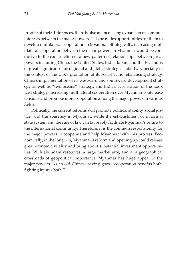In spite of their differences, there is also an increasing expansion of common interests between the major powers. This provides opportunities for them to develop multilateral cooperation in Myanmar. Strategically, increasing multilateral cooperation between the major powers in Myanmar would be conducive to the construction of a new pattern of relationships between great powers including China, the United States, India, Japan, and the EU and is of great significance for regional and global strategic stability. Especially in the context of the U.S.'s promotion of its Asia-Pacific rebalancing strategy, China's implementation of its westward and southward development strategy as well as "two oceans" strategy, and India's acceleration of the Look East strategy, increasing multilateral cooperation over Myanmar could ease tensions and promote more cooperation among the major powers in various fields.

Politically, the current reforms will promote political stability, social justice, and transparency in Myanmar, while the establishment of a normal state system and the rule of law can favorably facilitate Myanmar's return to the international community. Therefore, it is the common responsibility for the major powers to cooperate and help Myanmar with this process. Economically, in the long run, Myanmar's reform and opening up could release great economic vitality and bring about substantial investment opportunities. With abundant resources, a large market size, and at a geographical crossroads of geopolitical importance, Myanmar has huge appeal to the major powers. As an old Chinese saying goes, "cooperation benefits both, fighting injures both."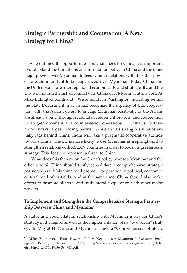## **Strategic Partnership and Cooperation: A New Strategy for China?**

Having outlined the opportunities and challenges for China, it is important to understand the limitations of confrontation between China and the other major powers over Myanmar. Indeed, China's relations with the other powers are too important to be jeopardized over Myanmar. Today China and the United States are interdependent economically and strategically, and the U.S. will not run the risk of conflict with China over Myanmar at any cost. As Mike Billington points out, "Wiser minds in Washington, including within the State Department, may in fact recognize the urgency of U.S. cooperation with the Asian powers to engage Myanmar positively, as the Asians are already doing, through regional development projects, and cooperation in drug-enforcement and counter-terror operations."60 China is, furthermore, India's largest trading partner. While India's strength still substantially lags behind China, India will take a pragmatic cooperative attitude towards China. The EU is more likely to use Myanmar as a springboard to strengthen relations with ASEAN countries in order to boost its greater Asia strategy. This does not represent a threat to China.

What does this then mean for China's policy towards Myanmar and the other actors? China should firstly consolidate a comprehensive strategic partnership with Myanmar and promote cooperation in political, economic, cultural, and other fields. And at the same time, China should also make efforts to promote bilateral and multilateral cooperation with other major powers.

## **To Implement and Strengthen the Comprehensive Strategic Partnership Between China and Myanmar**

A stable and good bilateral relationship with Myanmar is key for China's strategy in the region as well as the implementation of its "two ocean" strategy. In May 2011, China and Myanmar signed a "Comprehensive Strategic

<sup>60</sup>Mike Billington, "Four Powers' Policy Needed for Myanmar," *Executive Intelligence Review*, October 19, 2007, http://www.larouchepub.com/eiw/public/2007/ eirv34n41-20071019/36-38\_741.pdf.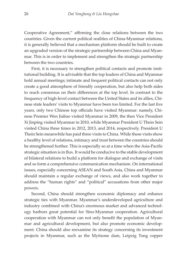Cooperative Agreement," affirming the close relations between the two countries. Given the current political realities of China-Myanmar relations, it is generally believed that a mechanism platform should be built to create an upgraded version of the strategic partnership between China and Myanmar. This is in order to implement and strengthen the strategic partnership between the two countries.

First, it is necessary to strengthen political contacts and promote institutional building. It is advisable that the top leaders of China and Myanmar hold annual meetings; intimate and frequent political contacts can not only create a good atmosphere of friendly cooperation, but also help both sides to reach consensus on their differences at the top level. In contrast to the frequency of high-level contact between the United States and its allies, Chinese state leaders' visits to Myanmar have been too limited. For the last five years, only two Chinese top officials have visited Myanmar: namely, Chinese Premier Wen Jiabao visited Myanmar in 2009, the then Vice President Xi Jinping visited Myanmar in 2010, while Myanmar President U Thein Sein visited China three times in 2012, 2013, and 2014, respectively. President U Thein Sein meanwhile has paid three visits to China. While these visits show a healthy level of relations, intimacy and trust between the countries should be strengthened further. This is especially so at a time when the Asia-Pacific strategic situation is in flux. It would be conducive to the stable development of bilateral relations to build a platform for dialogue and exchange of visits and so form a comprehensive communication mechanism. On international issues, especially concerning ASEAN and South Asia, China and Myanmar should maintain a regular exchange of views, and also work together to address the "human rights" and "political" accusations from other major powers.

Second, China should strengthen economic diplomacy and enhance strategic ties with Myanmar. Myanmar's underdeveloped agriculture and industry combined with China's enormous market and advanced technology harbors great potential for Sino-Myanmar cooperation. Agricultural cooperation with Myanmar can not only benefit the population of Myanmar and agricultural development, but also promote economic development. China should also reexamine its strategy concerning its investment projects in Myanmar, such as the Myitsone dam, Leipzig Tong copper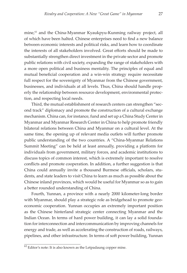mine,<sup>61</sup> and the China-Myanmar Kyaukpyu-Kunming railway project, all of which have been halted. Chinese enterprises need to find a new balance between economic interests and political risks, and learn how to coordinate the interests of all stakeholders involved. Great efforts should be made to substantially strengthen direct investment in the private sector and promote public relations with civil society, expanding the range of stakeholders with a more open political and business mentality. The principles of equal and mutual beneficial cooperation and a win-win strategy require necessitate full respect for the sovereignty of Myanmar from the Chinese government, businesses, and individuals at all levels. Thus, China should handle properly the relationship between resource development, environmental protection, and respecting local needs.

Third, the mutual establishment of research centers can strengthen "second track" diplomacy and promote the construction of a cultural exchange mechanism. China can, for instance, fund and set up a China Study Center in Myanmar and Myanmar Research Center in China to help promote friendly bilateral relations between China and Myanmar on a cultural level. At the same time, the opening up of relevant media outlets will further promote public understanding of the two countries. A "China-Myanmar Relations Summit Meeting" can be held at least annually, providing a platform for individuals from government, military forces, and academic institutions to discuss topics of common interest, which is extremely important to resolve conflicts and promote cooperation. In addition, a further suggestion is that China could annually invite a thousand Burmese officials, scholars, students, and state leaders to visit China to learn as much as possible about the Chinese inland provinces, which would be useful for Myanmar so as to gain a better rounded understanding of China.

Fourth, Yunnan, a province with a nearly 2000 kilometer-long border with Myanmar, should play a strategic role as bridgehead to promote geoeconomic cooperation. Yunnan occupies an extremely important position as the Chinese hinterland strategic center connecting Myanmar and the Indian Ocean. In terms of hard power building, it can lay a solid foundation for interconnection and intercommunication by improving channels for energy and trade, as well as accelerating the construction of roads, railways, pipelines, and other infrastructure. In terms of soft power building, Yunnan

 $\overline{61}$  Editor's note: It is also known as the Letpadaung copper mine.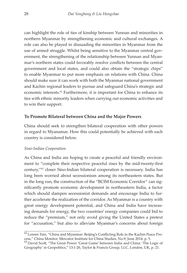can highlight the role of ties of kinship between Yunnan and minorities in northern Myanmar by strengthening economic and cultural exchanges. A role can also be played in dissuading the minorities in Myanmar from the use of armed struggle. Whilst being sensitive to the Myanmar central government, the strengthening of the relationship between Yunnan and Myanmar's northern states could favorably resolve conflicts between the central government and local states, and could also obtain the "strategic chips" to enable Myanmar to put more emphasis on relations with China. China should make sure it can work with both the Myanmar national government and Kachin regional leaders to pursue and safeguard China's strategic and economic interests.<sup>62</sup> Furthermore, it is important for China to enhance its ties with ethnic minority leaders when carrying out economic activities and to win their support.

## **To Promote Bilateral between China and the Major Powers**

China should seek to strengthen bilateral cooperation with other powers in regard to Myanamar. How this could potentially be achieved with each country is considered below.

#### *Sino-Indian Cooperation*

As China and India are hoping to create a peaceful and friendly environment to "complete their respective peaceful rises by the mid-twenty-first century,"63 closer Sino-Indian bilateral cooperation is necessary. India has long been worried about secessionism among its northeastern states. But in the long run, the construction of the "BCIM Economic Corridor" can significantly promote economic development in northeastern India, a factor which should dampen secessionist demands and encourage India to further accelerate the realization of the corridor. As Myanmar is a country with great energy development potential, and China and India have increasing demands for energy, the two countries' energy companies could bid to reduce the "premium," not only avoid giving the United States a pretext for "accusation," but also to alleviate Myanmar's concerns about foreign

<sup>62</sup>Loreen Tsin, "China and Myanmar: Beijing's Conflicting Role in the Kachin Peace Process," China Monitor, Mercator Institute for China Studies, No.9, June 2014, p. 5.

<sup>&</sup>lt;sup>63</sup> David Scott, "The Great Power 'Great Game' between India and China: 'The Logic of Geography' in Geopolitics," 13:1-26, Taylor & Francis Group, LLC, London, UK, p. 21.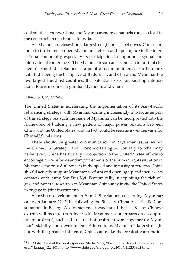control of its energy. China and Myanmar energy channels can also lead to the construction of a branch to India.

As Myanmar's closest and largest neighbors, it behooves China and India to further encourage Myanmar's reform and opening up to the international community, especially its participation in important regional and international conferences. The Myanmar issue can become an important element of Sino-India relations as a point of common interest. Furthermore, with India being the birthplace of Buddhism, and China and Myanmar the two largest Buddhist countries, the potential exists for boosting international tourism connecting India, Myanmar, and China.

#### *Sino-U.S. Cooperation*

The United States is accelerating the implementation of its Asia-Pacific rebalancing strategy with Myanmar coming increasingly into focus as part of this strategy. As such the issue of Myanmar can be incorporated into the framework of building a new pattern of major power relations between China and the United States, and, in fact, could be seen as a weathervane for China-U.S. relations.

There should be greater communication on Myanmar issues within the China-U.S. Strategic and Economic Dialogue. Contrary to what may be believed, China has actually no objection to the United States' efforts to encourage more reforms and improvements of the human rights situation in Myanmar; the only difference is in the speed and intensity of reforms. China should actively support Myanmar's reform and opening up and increase its contacts with Aung San Suu Kyi. Economically, in exploiting the rich oil, gas, and mineral resources in Myanmar, China may invite the United States to engage in joint investments.

A positive development in Sino-U.S. relations concerning Myanmar came on January 22, 2014, following the 5th U.S.-China Asia-Pacific Consultations in Beijing. A joint statement was issued that "U.S. and Chinese experts will meet to coordinate with Myanmar counterparts on an appropriate project(s), such as in the field of health, to work together for Myanmar's stability and development."64 In sum, as Myanmar's largest neighbor with the greatest influence, China can make the greatest contribution

<sup>64</sup>US State Office of the Spokesperson, Media Note, "List of US-China Cooperative Projects," January 22, 2014,. http://www.state.gov/r/pa/prs/ps/2014/01/220530.htm#.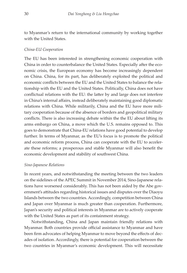to Myanmar's return to the international community by working together with the United States.

## *China-EU Cooperation*

The EU has been interested in strengthening economic cooperation with China in order to counterbalance the United States. Especially after the economic crisis, the European economy has become increasingly dependent on China. China, for its part, has deliberately exploited the political and economic conflicts between the EU and the United States to balance the relationship with the EU and the United States. Politically, China does not have conflictual relations with the EU: the latter by and large does not interfere in China's internal affairs, instead deliberately maintaining good diplomatic relations with China. While militarily, China and the EU have more military cooperation because of the absence of borders and geopolitical military conflicts. There is also increasing debate within the the EU about lifting its arms embargo on China, a move which the U.S. remains opposed to. This goes to demonstrate that China-EU relations have good potential to develop further. In terms of Myanmar, as the EU's focus is to promote the political and economic reform process, China can cooperate with the EU to accelerate these reforms; a prosperous and stable Myanmar will also benefit the economic development and stability of southwest China.

#### *Sino-Japanese Relations*

In recent years, and notwithstanding the meeting between the two leaders on the sidelines of the APEC Summit in November 2014, Sino-Japanese relations have worsened considerably. This has not been aided by the Abe government's attitudes regarding historical issues and disputes over the Diaoyu Islands between the two countries. Accordingly, competition between China and Japan over Myanmar is much greater than cooperation. Furthermore, Japan's security and political interests in Myanmar are to actively cooperate with the United States as part of its containment strategy.

Notwithstanding, China and Japan maintain friendly relations with Myanmar. Both countries provide official assistance to Myanmar and have been firm advocates of helping Myanmar to move beyond the effects of decades of isolation. Accordingly, there is potential for cooperation between the two countries in Myanmar's economic development. This will necessitate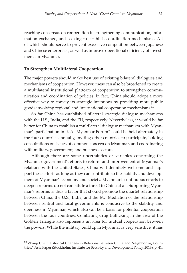reaching consensus on cooperation in strengthening communication, information exchange, and seeking to establish coordination mechanisms. All of which should serve to prevent excessive competition between Japanese and Chinese enterprises, as well as improve operational efficiency of investments in Myanmar.

#### **To Strengthen Multilateral Cooperation**

The major powers should make best use of existing bilateral dialogues and mechanisms of cooperation. However, these can also be broadened to create a multilateral institutional platform of cooperation to strengthen communication and coordination of policies. In fact, China should adopt a more effective way to convey its strategic intentions by providing more public goods involving regional and international cooperation mechanisms.<sup>65</sup>

So far China has established bilateral strategic dialogue mechanisms with the U.S., India, and the EU, respectively. Nevertheless, it would be far better for China to establish a multilateral dialogue mechanism with Myanmar's participation in it. A "Myanmar Forum" could be held alternately in the four countries annually, inviting other countries to participate, holding consultations on issues of common concern on Myanmar, and coordinating with military, government, and business sectors.

Although there are some uncertainties or variables concerning the Myanmar government's efforts to reform and improvement of Myanmar's relations with the United States, China will definitely welcome and support these efforts as long as they can contribute to the stability and development of Myanmar's economy and society. Myanmar's continuous efforts to deepen reforms do not constitute a threat to China at all. Supporting Myanmar's reforms is thus a factor that should promote the quartet relationship between China, the U.S., India, and the EU. Mediation of the relationship between central and local governments is conducive to the stability and openness in Myanmar, which also can be a basis for potential cooperation between the four countries. Combating drug trafficking in the area of the Golden Triangle also represents an area for mutual cooperation between the powers. While the military buildup in Myanmar is very sensitive, it has

<sup>&</sup>lt;sup>65</sup> Zhang Chi, "Historical Changes in Relations Between China and Neighboring Countries," Asia Paper (Stockholm: Institute for Security and Development Policy, 2013), p. 41.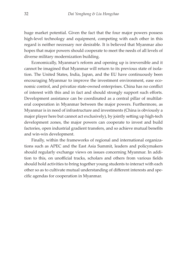huge market potential. Given the fact that the four major powers possess high-level technology and equipment, competing with each other in this regard is neither necessary nor desirable. It is believed that Myanmar also hopes that major powers should cooperate to meet the needs of all levels of diverse military modernization building.

Economically, Myanmar's reform and opening up is irreversible and it cannot be imagined that Myanmar will return to its previous state of isolation. The United States, India, Japan, and the EU have continuously been encouraging Myanmar to improve the investment environment, ease economic control, and privatize state-owned enterprises. China has no conflict of interest with this and in fact and should strongly support such efforts. Development assistance can be coordinated as a central pillar of multilateral cooperation in Myanmar between the major powers. Furthermore, as Myanmar is in need of infrastructure and investments (China is obviously a major player here but cannot act exclusively), by jointly setting up high-tech development zones, the major powers can cooperate to invest and build factories, open industrial gradient transfers, and so achieve mutual benefits and win-win development.

Finally, within the frameworks of regional and international organizations such as APEC and the East Asia Summit, leaders and policymakers should regularly exchange views on issues concerning Myanmar. In addition to this, on unofficial tracks, scholars and others from various fields should hold activities to bring together young students to interact with each other so as to cultivate mutual understanding of different interests and specific agendas for cooperation in Myanmar.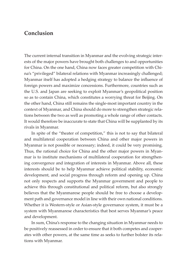## **Conclusion**

The current internal transition in Myanmar and the evolving strategic interests of the major powers have brought both challenges to and opportunities for China. On the one hand, China now faces greater competition with China's "privileged" bilateral relations with Myanmar increasingly challenged; Myanmar itself has adopted a hedging strategy to balance the influence of foreign powers and maximize concessions. Furthermore, countries such as the U.S. and Japan are seeking to exploit Myanmar's geopolitical position so as to contain China, which constitutes a worrying threat for Beijing. On the other hand, China still remains the single-most important country in the context of Myanmar, and China should do more to strengthen strategic relations between the two as well as promoting a whole range of other contacts. It would therefore be inaccurate to state that China will be supplanted by its rivals in Myanmar.

In spite of the "theater of competition," this is not to say that bilateral and multilateral cooperation between China and other major powers in Myanmar is not possible or necessary; indeed, it could be very promising. Thus, the rational choice for China and the other major powers in Myanmar is to institute mechanisms of multilateral cooperation for strengthening convergence and integration of interests in Myanmar. Above all, these interests should be to help Myanmar achieve political stability, economic development, and social progress through reform and opening up. China not only respects and supports the Myanmar government and people to achieve this through constitutional and political reform, but also strongly believes that the Myanmarese people should be free to choose a development path and governance model in line with their own national conditions. Whether it is Western-style or Asian-style governance system, it must be a system with Myanmarese characteristics that best serves Myanmar's peace and development.

In sum, China's response to the changing situation in Myanmar needs to be positively reassessed in order to ensure that it both competes and cooperates with other powers, at the same time as seeks to further bolster its relations with Myanmar.